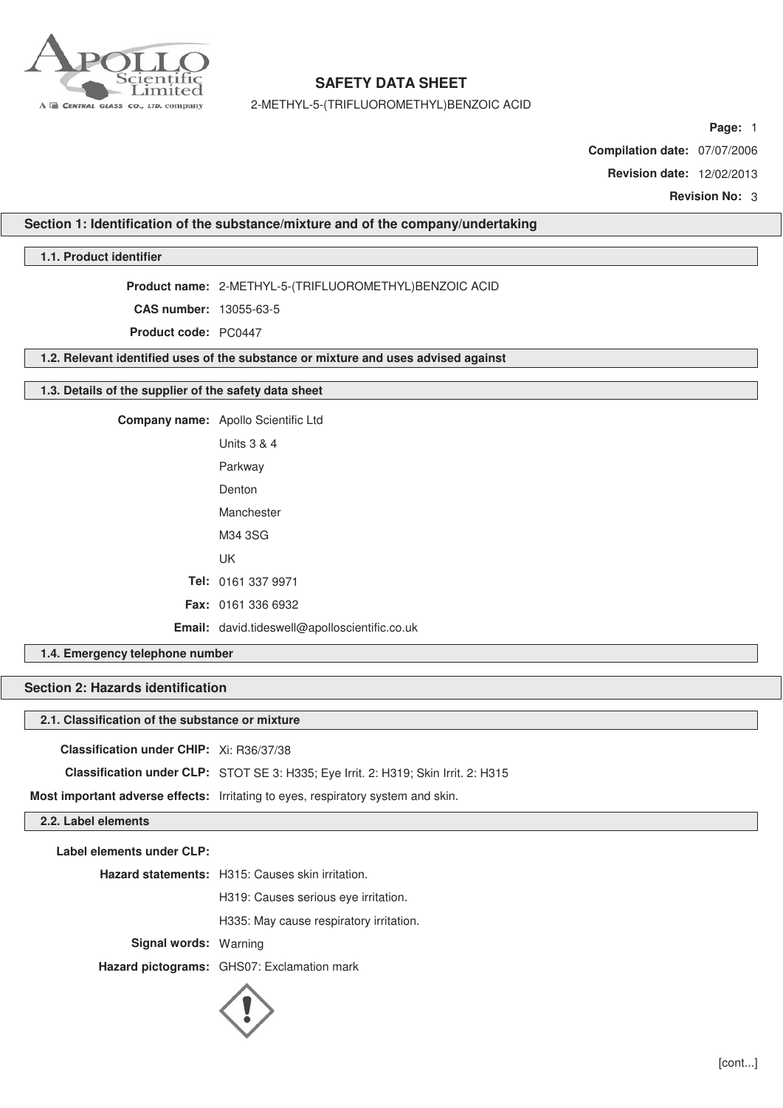

2-METHYL-5-(TRIFLUOROMETHYL)BENZOIC ACID

**Page:** 1

**Compilation date:** 07/07/2006

**Revision date:** 12/02/2013

**Revision No:** 3

### **Section 1: Identification of the substance/mixture and of the company/undertaking**

# **1.1. Product identifier**

**Product name:** 2-METHYL-5-(TRIFLUOROMETHYL)BENZOIC ACID

**CAS number:** 13055-63-5

**Product code:** PC0447

**1.2. Relevant identified uses of the substance or mixture and uses advised against**

#### **1.3. Details of the supplier of the safety data sheet**

**Company name:** Apollo Scientific Ltd Units 3 & 4 Parkway Denton Manchester M34 3SG UK

> **Tel:** 0161 337 9971 **Fax:** 0161 336 6932

**Email:** david.tideswell@apolloscientific.co.uk

# **1.4. Emergency telephone number**

# **Section 2: Hazards identification**

# **2.1. Classification of the substance or mixture**

**Classification under CHIP:** Xi: R36/37/38

**Classification under CLP:** STOT SE 3: H335; Eye Irrit. 2: H319; Skin Irrit. 2: H315

**Most important adverse effects:** Irritating to eyes, respiratory system and skin.

# **2.2. Label elements**

**Label elements under CLP:**

**Hazard statements:** H315: Causes skin irritation.

H319: Causes serious eye irritation.

H335: May cause respiratory irritation.

**Signal words:** Warning

**Hazard pictograms:** GHS07: Exclamation mark

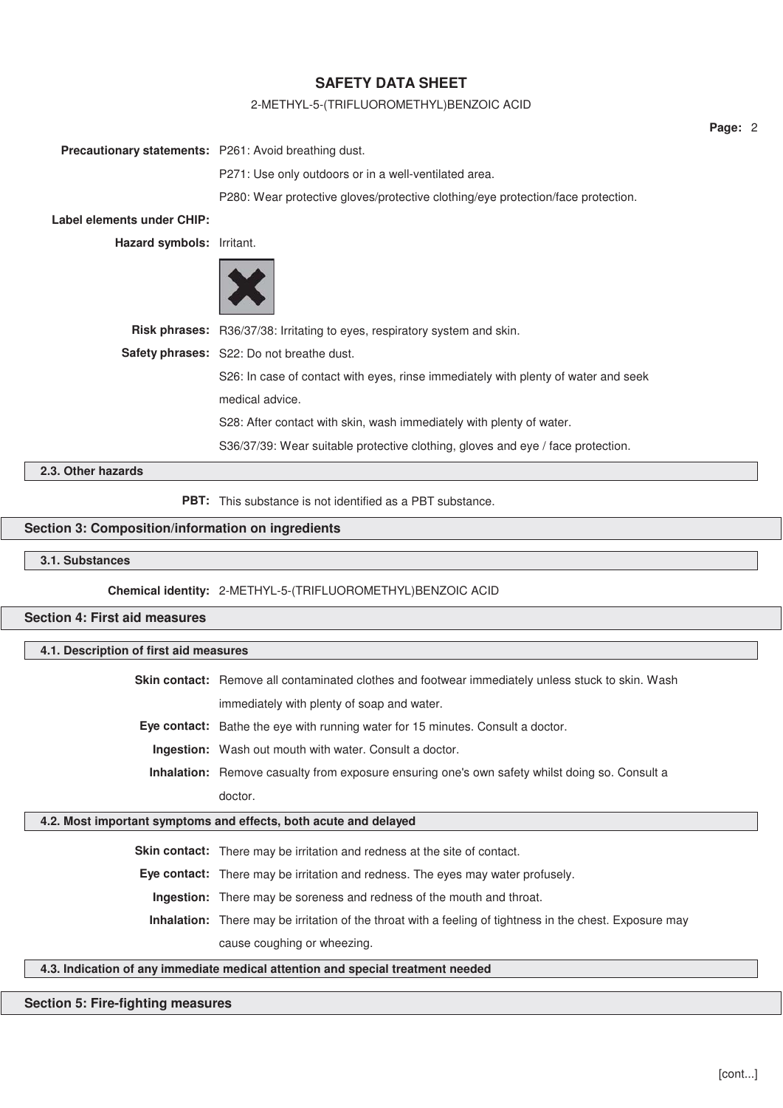### 2-METHYL-5-(TRIFLUOROMETHYL)BENZOIC ACID

|                            |                                                                                    | Page: 2 |  |
|----------------------------|------------------------------------------------------------------------------------|---------|--|
|                            | <b>Precautionary statements:</b> P261: Avoid breathing dust.                       |         |  |
|                            | P271: Use only outdoors or in a well-ventilated area.                              |         |  |
|                            | P280: Wear protective gloves/protective clothing/eye protection/face protection.   |         |  |
| Label elements under CHIP: |                                                                                    |         |  |
| Hazard symbols: Irritant.  |                                                                                    |         |  |
|                            |                                                                                    |         |  |
|                            | Risk phrases: R36/37/38: Irritating to eyes, respiratory system and skin.          |         |  |
|                            | Safety phrases: S22: Do not breathe dust.                                          |         |  |
|                            | S26: In case of contact with eyes, rinse immediately with plenty of water and seek |         |  |
|                            | medical advice.                                                                    |         |  |
|                            | S28: After contact with skin, wash immediately with plenty of water.               |         |  |
|                            | S36/37/39: Wear suitable protective clothing, gloves and eye / face protection.    |         |  |
| 2.3. Other hazards         |                                                                                    |         |  |

**PBT:** This substance is not identified as a PBT substance.

# **Section 3: Composition/information on ingredients**

**3.1. Substances**

**Chemical identity:** 2-METHYL-5-(TRIFLUOROMETHYL)BENZOIC ACID

**Section 4: First aid measures**

# **4.1. Description of first aid measures**

**Skin contact:** Remove all contaminated clothes and footwear immediately unless stuck to skin. Wash immediately with plenty of soap and water.

**Eye contact:** Bathe the eye with running water for 15 minutes. Consult a doctor.

**Ingestion:** Wash out mouth with water. Consult a doctor.

**Inhalation:** Remove casualty from exposure ensuring one's own safety whilst doing so. Consult a doctor.

# **4.2. Most important symptoms and effects, both acute and delayed**

**Skin contact:** There may be irritation and redness at the site of contact.

**Eye contact:** There may be irritation and redness. The eyes may water profusely.

**Ingestion:** There may be soreness and redness of the mouth and throat.

**Inhalation:** There may be irritation of the throat with a feeling of tightness in the chest. Exposure may cause coughing or wheezing.

# **4.3. Indication of any immediate medical attention and special treatment needed**

### **Section 5: Fire-fighting measures**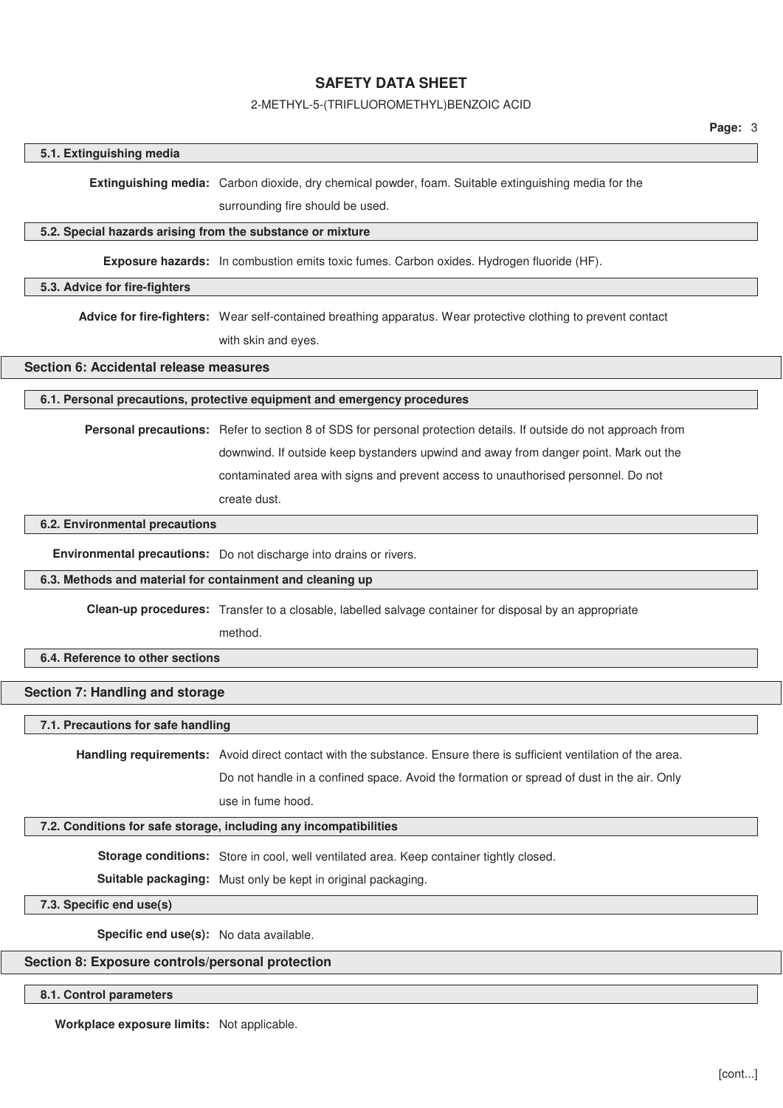#### 2-METHYL-5-(TRIFLUOROMETHYL)BENZOIC ACID

#### **5.1. Extinguishing media**

**Extinguishing media:** Carbon dioxide, dry chemical powder, foam. Suitable extinguishing media for the

surrounding fire should be used.

#### **5.2. Special hazards arising from the substance or mixture**

**Exposure hazards:** In combustion emits toxic fumes. Carbon oxides. Hydrogen fluoride (HF).

#### **5.3. Advice for fire-fighters**

**Advice for fire-fighters:** Wear self-contained breathing apparatus. Wear protective clothing to prevent contact with skin and eyes.

# **Section 6: Accidental release measures**

### **6.1. Personal precautions, protective equipment and emergency procedures**

**Personal precautions:** Refer to section 8 of SDS for personal protection details. If outside do not approach from downwind. If outside keep bystanders upwind and away from danger point. Mark out the contaminated area with signs and prevent access to unauthorised personnel. Do not create dust.

### **6.2. Environmental precautions**

**Environmental precautions:** Do not discharge into drains or rivers.

#### **6.3. Methods and material for containment and cleaning up**

**Clean-up procedures:** Transfer to a closable, labelled salvage container for disposal by an appropriate

method.

# **6.4. Reference to other sections**

# **Section 7: Handling and storage**

# **7.1. Precautions for safe handling**

**Handling requirements:** Avoid direct contact with the substance. Ensure there is sufficient ventilation of the area.

Do not handle in a confined space. Avoid the formation or spread of dust in the air. Only use in fume hood.

# **7.2. Conditions for safe storage, including any incompatibilities**

**Storage conditions:** Store in cool, well ventilated area. Keep container tightly closed.

**Suitable packaging:** Must only be kept in original packaging.

# **7.3. Specific end use(s)**

**Specific end use(s):** No data available.

#### **Section 8: Exposure controls/personal protection**

#### **8.1. Control parameters**

**Workplace exposure limits:** Not applicable.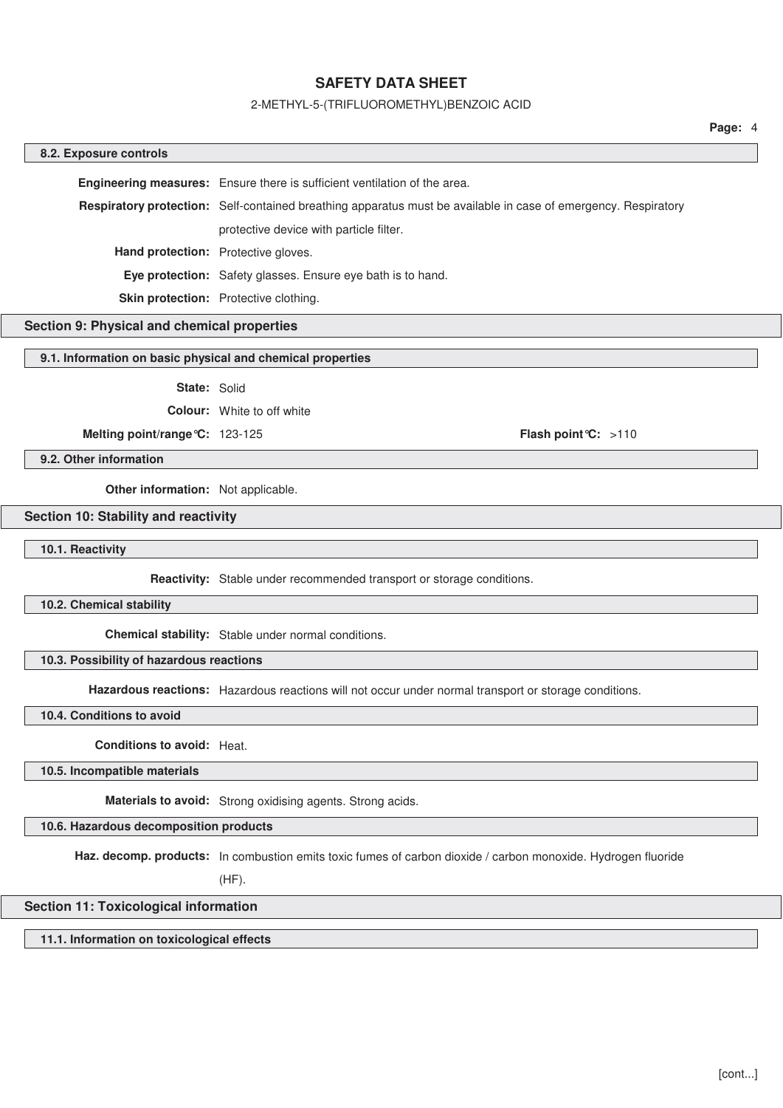#### 2-METHYL-5-(TRIFLUOROMETHYL)BENZOIC ACID

# **8.2. Exposure controls Engineering measures:** Ensure there is sufficient ventilation of the area. **Respiratory protection:** Self-contained breathing apparatus must be available in case of emergency. Respiratory protective device with particle filter. **Hand protection:** Protective gloves. **Eye protection:** Safety glasses. Ensure eye bath is to hand. **Skin protection:** Protective clothing.

# **Section 9: Physical and chemical properties**

#### **9.1. Information on basic physical and chemical properties**

**State:** Solid

**Colour:** White to off white

**Melting point/range°C:** 123-125 **Flash point°C:** >110

**9.2. Other information**

**Other information:** Not applicable.

## **Section 10: Stability and reactivity**

**10.1. Reactivity**

**Reactivity:** Stable under recommended transport or storage conditions.

**10.2. Chemical stability**

**Chemical stability:** Stable under normal conditions.

**10.3. Possibility of hazardous reactions**

**Hazardous reactions:** Hazardous reactions will not occur under normal transport or storage conditions.

**10.4. Conditions to avoid**

**Conditions to avoid:** Heat.

**10.5. Incompatible materials**

**Materials to avoid:** Strong oxidising agents. Strong acids.

**10.6. Hazardous decomposition products**

**Haz. decomp. products:** In combustion emits toxic fumes of carbon dioxide / carbon monoxide. Hydrogen fluoride

(HF).

# **Section 11: Toxicological information**

**11.1. Information on toxicological effects**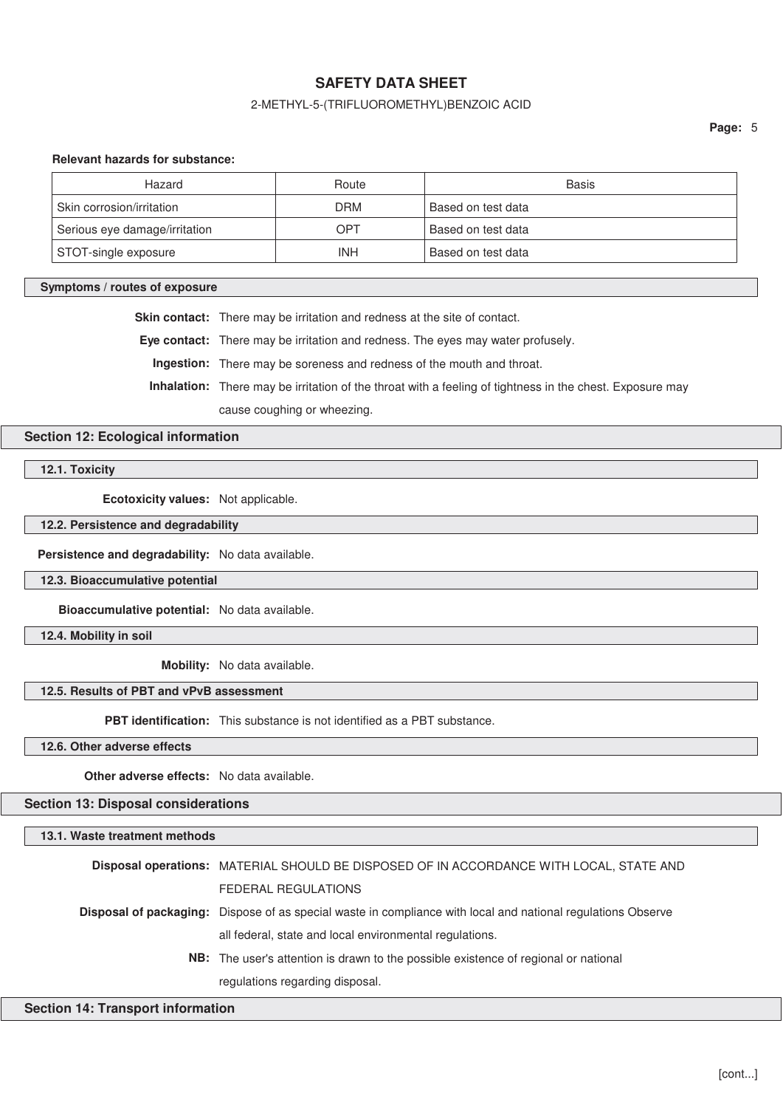# 2-METHYL-5-(TRIFLUOROMETHYL)BENZOIC ACID

**Page:** 5

### **Relevant hazards for substance:**

| Hazard                        | Route      | Basis              |
|-------------------------------|------------|--------------------|
| Skin corrosion/irritation     | <b>DRM</b> | Based on test data |
| Serious eye damage/irritation | OPT        | Based on test data |
| STOT-single exposure          | INH        | Based on test data |

#### **Symptoms / routes of exposure**

**Skin contact:** There may be irritation and redness at the site of contact.

**Eye contact:** There may be irritation and redness. The eyes may water profusely.

**Ingestion:** There may be soreness and redness of the mouth and throat.

**Inhalation:** There may be irritation of the throat with a feeling of tightness in the chest. Exposure may

cause coughing or wheezing.

# **Section 12: Ecological information**

**12.1. Toxicity**

**Ecotoxicity values:** Not applicable.

**12.2. Persistence and degradability**

**Persistence and degradability:** No data available.

**12.3. Bioaccumulative potential**

**Bioaccumulative potential:** No data available.

**12.4. Mobility in soil**

**Mobility:** No data available.

# **12.5. Results of PBT and vPvB assessment**

**PBT identification:** This substance is not identified as a PBT substance.

**12.6. Other adverse effects**

**Other adverse effects:** No data available.

**Section 13: Disposal considerations**

#### **13.1. Waste treatment methods**

| Disposal operations: MATERIAL SHOULD BE DISPOSED OF IN ACCORDANCE WITH LOCAL, STATE AND                      |
|--------------------------------------------------------------------------------------------------------------|
| FEDERAL REGULATIONS                                                                                          |
| Disposal of packaging: Dispose of as special waste in compliance with local and national regulations Observe |
| all federal, state and local environmental regulations.                                                      |
| <b>NB:</b> The user's attention is drawn to the possible existence of regional or national                   |
| regulations regarding disposal.                                                                              |

### **Section 14: Transport information**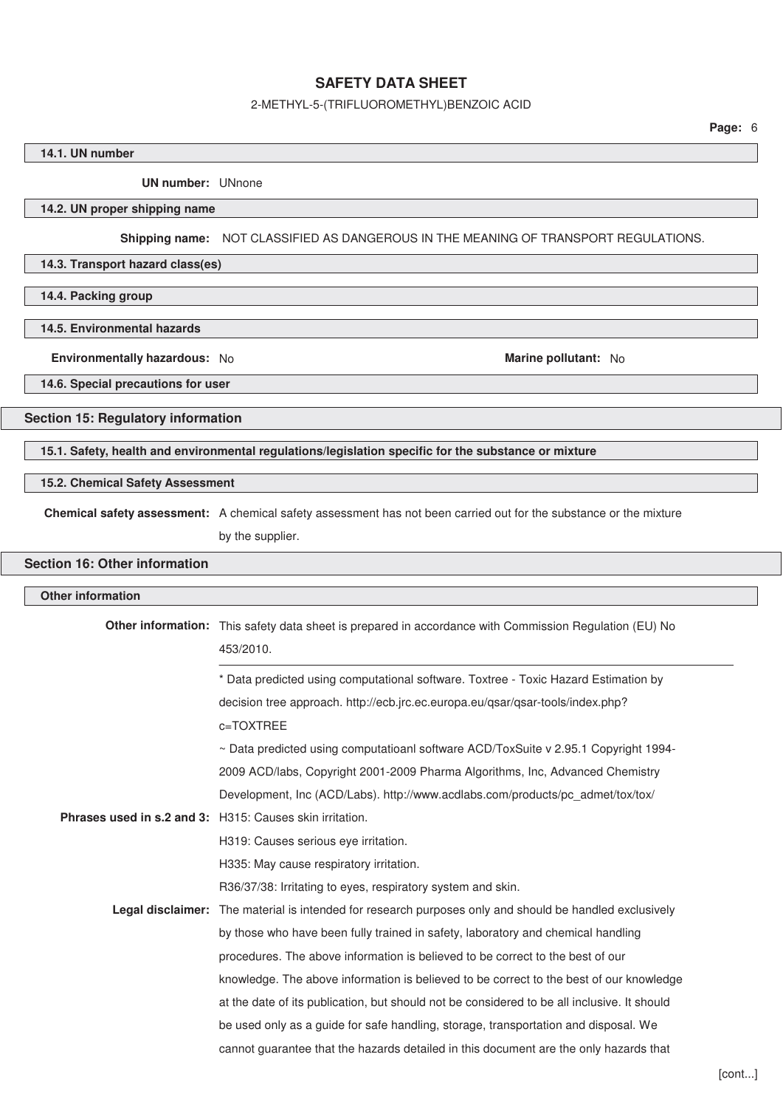# 2-METHYL-5-(TRIFLUOROMETHYL)BENZOIC ACID

# **14.1. UN number**

**UN number:** UNnone

# **14.2. UN proper shipping name**

**Shipping name:** NOT CLASSIFIED AS DANGEROUS IN THE MEANING OF TRANSPORT REGULATIONS.

# **14.3. Transport hazard class(es)**

**14.4. Packing group**

# **14.5. Environmental hazards**

**Environmentally hazardous:** No **Marine pollutant:** No **Marine pollutant:** No

**14.6. Special precautions for user**

# **Section 15: Regulatory information**

**15.1. Safety, health and environmental regulations/legislation specific for the substance or mixture**

# **15.2. Chemical Safety Assessment**

**Chemical safety assessment:** A chemical safety assessment has not been carried out for the substance or the mixture

by the supplier.

# **Section 16: Other information**

| Other information                                               |                                                                                                                     |
|-----------------------------------------------------------------|---------------------------------------------------------------------------------------------------------------------|
|                                                                 | Other information: This safety data sheet is prepared in accordance with Commission Regulation (EU) No<br>453/2010. |
|                                                                 | * Data predicted using computational software. Toxtree - Toxic Hazard Estimation by                                 |
|                                                                 | decision tree approach. http://ecb.jrc.ec.europa.eu/qsar/qsar-tools/index.php?                                      |
|                                                                 | c=TOXTREE                                                                                                           |
|                                                                 | $\sim$ Data predicted using computatioanl software ACD/ToxSuite v 2.95.1 Copyright 1994-                            |
|                                                                 | 2009 ACD/labs, Copyright 2001-2009 Pharma Algorithms, Inc, Advanced Chemistry                                       |
|                                                                 | Development, Inc (ACD/Labs). http://www.acdlabs.com/products/pc admet/tox/tox/                                      |
| <b>Phrases used in s.2 and 3:</b> H315: Causes skin irritation. |                                                                                                                     |
|                                                                 | H319: Causes serious eye irritation.                                                                                |
|                                                                 | H335: May cause respiratory irritation.                                                                             |
|                                                                 | R36/37/38: Irritating to eyes, respiratory system and skin.                                                         |
|                                                                 | <b>Legal disclaimer:</b> The material is intended for research purposes only and should be handled exclusively      |
|                                                                 | by those who have been fully trained in safety, laboratory and chemical handling                                    |
|                                                                 | procedures. The above information is believed to be correct to the best of our                                      |
|                                                                 | knowledge. The above information is believed to be correct to the best of our knowledge                             |
|                                                                 | at the date of its publication, but should not be considered to be all inclusive. It should                         |
|                                                                 | be used only as a guide for safe handling, storage, transportation and disposal. We                                 |
|                                                                 | cannot guarantee that the hazards detailed in this document are the only hazards that                               |
|                                                                 |                                                                                                                     |